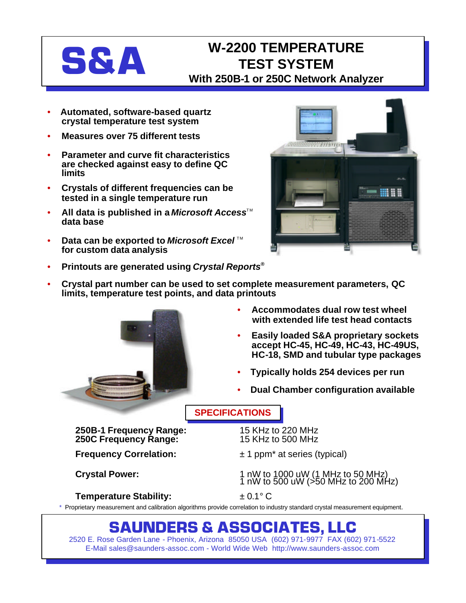## **W-2200 TEMPERATURE TEST SYSTEM With 250B-1 or 250C Network Analyzer**

- **Automated, software-based quartz crystal temperature test system**
- **Measures over 75 different tests**

**S&A**

- **Parameter and curve fit characteristics are checked against easy to define QC limits**
- **Crystals of different frequencies can be tested in a single temperature run**
- **All data is published in a** *Microsoft Access***<sup>™</sup> data base**
- **Data can be exported to Microsoft Excel**™ **for custom data analysis**



- **Printouts are generated using** *Crystal Reports***®**
- **Crystal part number can be used to set complete measurement parameters, QC limits, temperature test points, and data printouts**



- **Accommodates dual row test wheel with extended life test head contacts**
- **Easily loaded S&A proprietary sockets accept HC-45, HC-49, HC-43, HC-49US, HC-18, SMD and tubular type packages**
- **Typically holds 254 devices per run**
- **Dual Chamber configuration available**

## **SPECIFICATIONS**

**250B-1 Frequency Range:** 15 KHz to 220 MHz **250C Frequency Range:** 

**Frequency Correlation:**  $\pm 1$  ppm<sup>\*</sup> at series (typical)

**Crystal Power:** 1 nW to <u>1000 uW (1 MHz</u> to 50 MHz) 1 nW to 500 uW (>50 MHz to 200 MHz)

**Temperature Stability:**  $\pm 0.1^{\circ} \text{C}$ 

Proprietary measurement and calibration algorithms provide correlation to industry standard crystal measurement equipment.

## **SAUNDERS & ASSOCIATES, LLC**

2520 E. Rose Garden Lane - Phoenix, Arizona 85050 USA (602) 971-9977 FAX (602) 971-5522 E-Mail sales@saunders-assoc.com - World Wide Web http://www.saunders-assoc.com